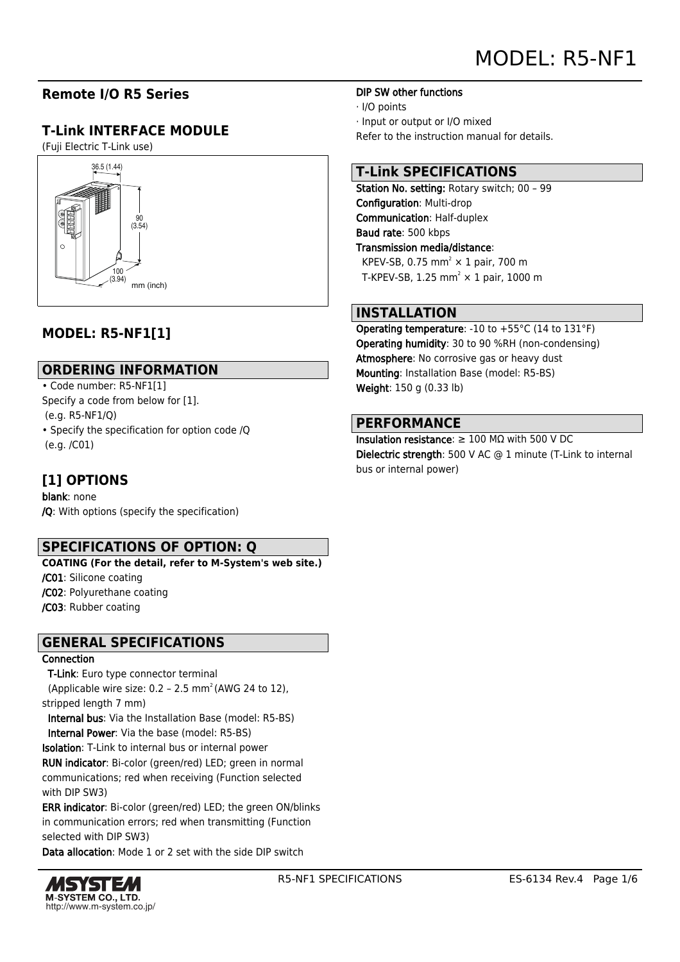## **Remote I/O R5 Series**

# **T-Link INTERFACE MODULE**

(Fuji Electric T-Link use)



# **MODEL: R5-NF1[1]**

#### **ORDERING INFORMATION**

• Code number: R5-NF1[1]

Specify a code from below for [1].

(e.g. R5-NF1/Q)

• Specify the specification for option code /Q (e.g. /C01)

### **[1] OPTIONS**

blank: none /Q: With options (specify the specification)

### **SPECIFICATIONS OF OPTION: Q**

**COATING (For the detail, refer to M-System's web site.)**

/C01: Silicone coating

/C02: Polyurethane coating

/C03: Rubber coating

### **GENERAL SPECIFICATIONS**

#### **Connection**

T-Link: Euro type connector terminal

(Applicable wire size:  $0.2 - 2.5$  mm<sup>2</sup> (AWG 24 to 12), stripped length 7 mm)

 Internal bus: Via the Installation Base (model: R5-BS) Internal Power: Via the base (model: R5-BS)

Isolation: T-Link to internal bus or internal power

RUN indicator: Bi-color (green/red) LED; green in normal communications; red when receiving (Function selected with DIP SW3)

ERR indicator: Bi-color (green/red) LED; the green ON/blinks in communication errors; red when transmitting (Function selected with DIP SW3)

Data allocation: Mode 1 or 2 set with the side DIP switch



· I/O points

· Input or output or I/O mixed

Refer to the instruction manual for details.

## **T-Link SPECIFICATIONS**

Station No. setting: Rotary switch; 00 - 99 Configuration: Multi-drop Communication: Half-duplex Baud rate: 500 kbps Transmission media/distance: KPEV-SB, 0.75 mm<sup>2</sup>  $\times$  1 pair, 700 m T-KPEV-SB, 1.25 mm<sup>2</sup>  $\times$  1 pair, 1000 m

### **INSTALLATION**

Operating temperature: -10 to +55°C (14 to 131°F) Operating humidity: 30 to 90 %RH (non-condensing) Atmosphere: No corrosive gas or heavy dust Mounting: Installation Base (model: R5-BS) Weight: 150 g (0.33 lb)

#### **PERFORMANCE**

Insulation resistance: ≥ 100 MΩ with 500 V DC Dielectric strength: 500 V AC @ 1 minute (T-Link to internal bus or internal power)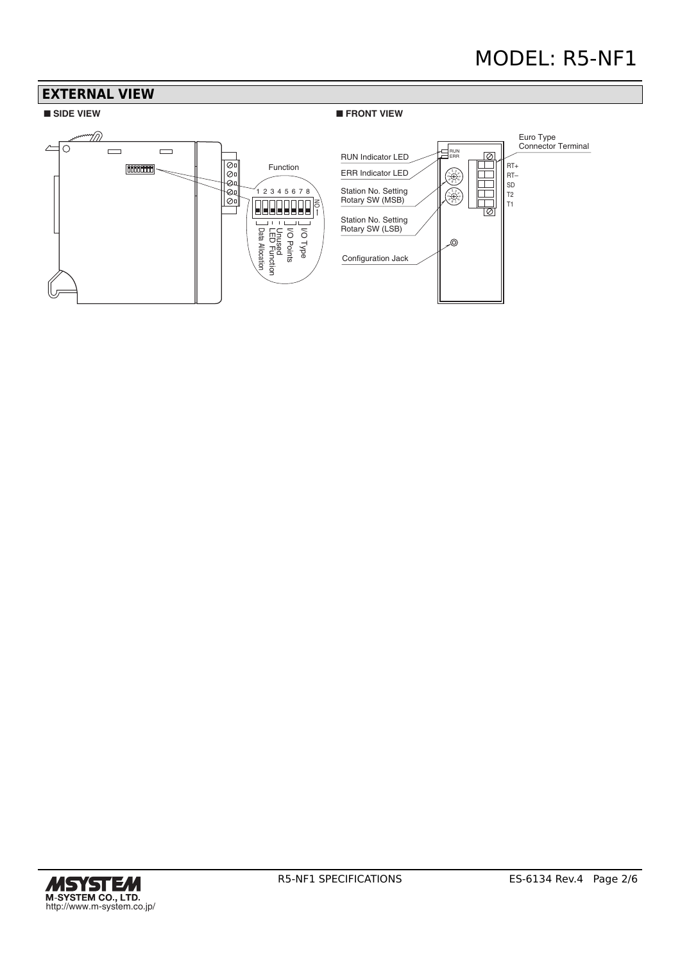# MODEL: R5-NF1



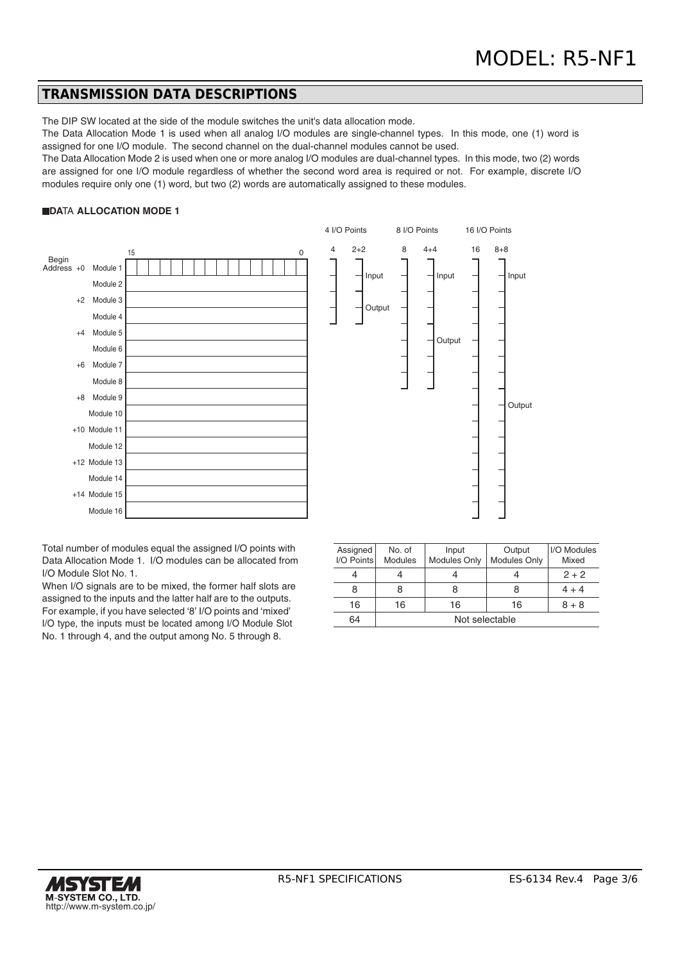Input

Output

#### **TRANSMISSION DATA DESCRIPTIONS**

The DIP SW located at the side of the module switches the unit's data allocation mode.

The Data Allocation Mode 1 is used when all analog I/O modules are single-channel types. In this mode, one (1) word is assigned for one I/O module. The second channel on the dual-channel modules cannot be used.

The Data Allocation Mode 2 is used when one or more analog I/O modules are dual-channel types. In this mode, two (2) words are assigned for one I/O module regardless of whether the second word area is required or not. For example, discrete I/O modules require only one (1) word, but two (2) words are automatically assigned to these modules.

#### **DATA ALLOCATION MODE 1**



Assigned No. of Input Output I/O Modules I/O Points Modules Modules Only Modules Only Mixed Modules Only 4 4 4 4 2 + 2 8 8 8 8 4 + 4 16 | 16 | 16 | 8 + 8 64 Not selectable

Total number of modules equal the assigned I/O points with Data Allocation Mode 1. I/O modules can be allocated from I/O Module Slot No. 1.

When I/O signals are to be mixed, the former half slots are assigned to the inputs and the latter half are to the outputs. For example, if you have selected '8' I/O points and 'mixed' I/O type, the inputs must be located among I/O Module Slot No. 1 through 4, and the output among No. 5 through 8.

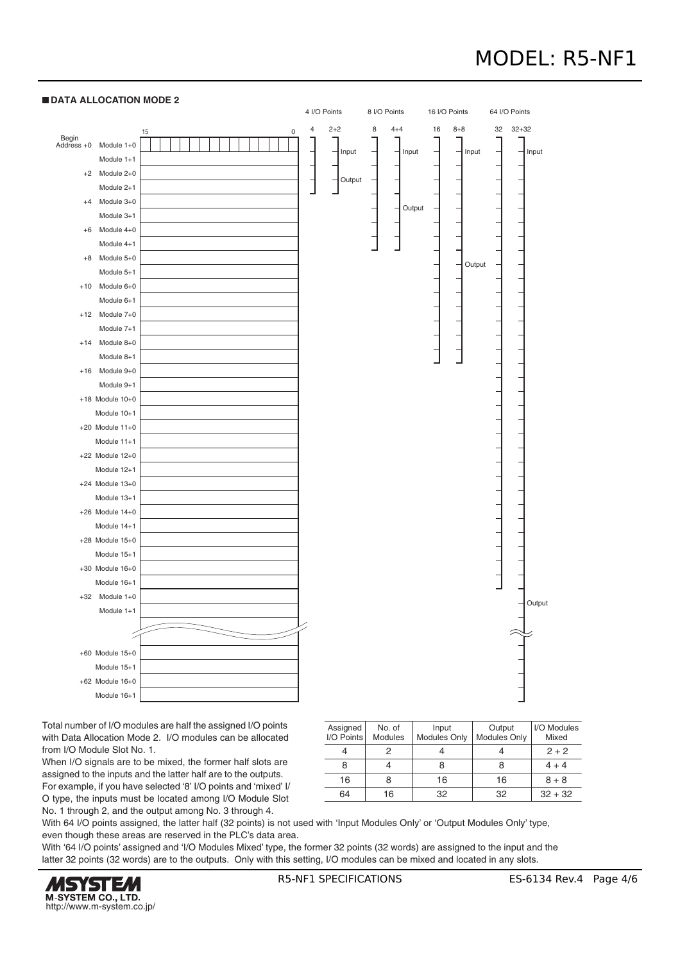# MODEL: R5-NF1



 **DATA ALLOCATION MODE 2**

Total number of I/O modules are half the assigned I/O points with Data Allocation Mode 2. I/O modules can be allocated from I/O Module Slot No. 1.

When I/O signals are to be mixed, the former half slots are assigned to the inputs and the latter half are to the outputs. For example, if you have selected '8' I/O points and 'mixed' I/ O type, the inputs must be located among I/O Module Slot No. 1 through 2, and the output among No. 3 through 4.

| Assigned<br>I/O Points | No. of<br>Modules | Input<br><b>Modules Only</b> | Output<br><b>Modules Only</b> | I/O Modules<br>Mixed |
|------------------------|-------------------|------------------------------|-------------------------------|----------------------|
|                        | 2                 |                              |                               | $2 + 2$              |
|                        |                   |                              |                               | $4 + 4$              |
| 16                     | 8                 | 16                           | 16                            | $8 + 8$              |
| 64                     | 16                | 32                           | 32                            | $32 + 32$            |

With 64 I/O points assigned, the latter half (32 points) is not used with 'Input Modules Only' or 'Output Modules Only' type, even though these areas are reserved in the PLC's data area.

With '64 I/O points' assigned and 'I/O Modules Mixed' type, the former 32 points (32 words) are assigned to the input and the latter 32 points (32 words) are to the outputs. Only with this setting, I/O modules can be mixed and located in any slots.

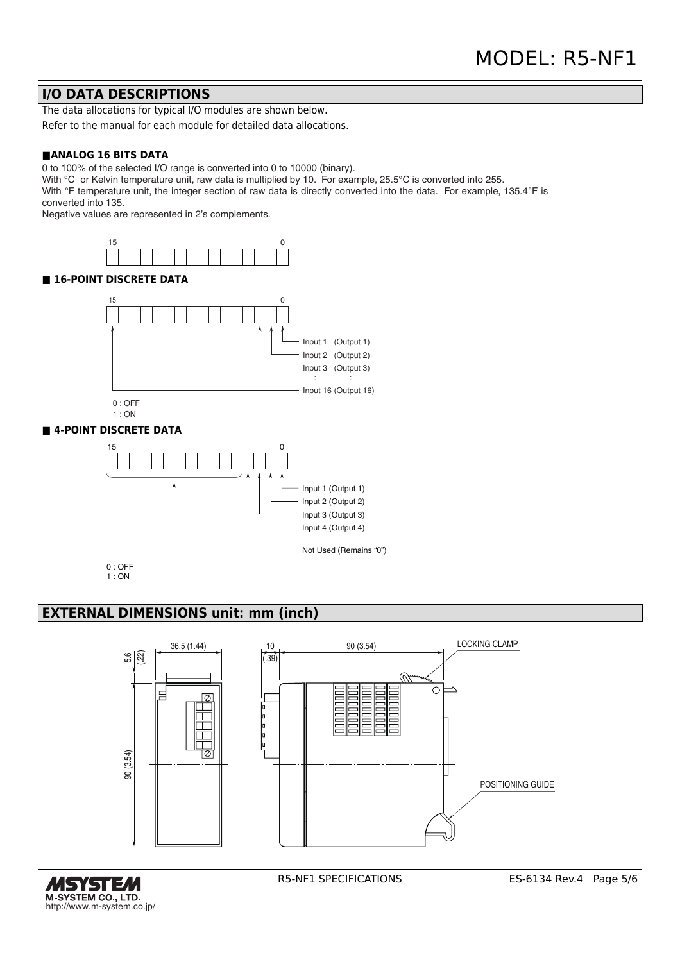#### **I/O DATA DESCRIPTIONS**

The data allocations for typical I/O modules are shown below.

Refer to the manual for each module for detailed data allocations.

#### **■ANALOG 16 BITS DATA**

0 to 100% of the selected I/O range is converted into 0 to 10000 (binary).

With °C or Kelvin temperature unit, raw data is multiplied by 10. For example, 25.5°C is converted into 255.

With °F temperature unit, the integer section of raw data is directly converted into the data. For example, 135.4°F is converted into 135.

Negative values are represented in 2's complements.





#### **EXTERNAL DIMENSIONS unit: mm (inch)**